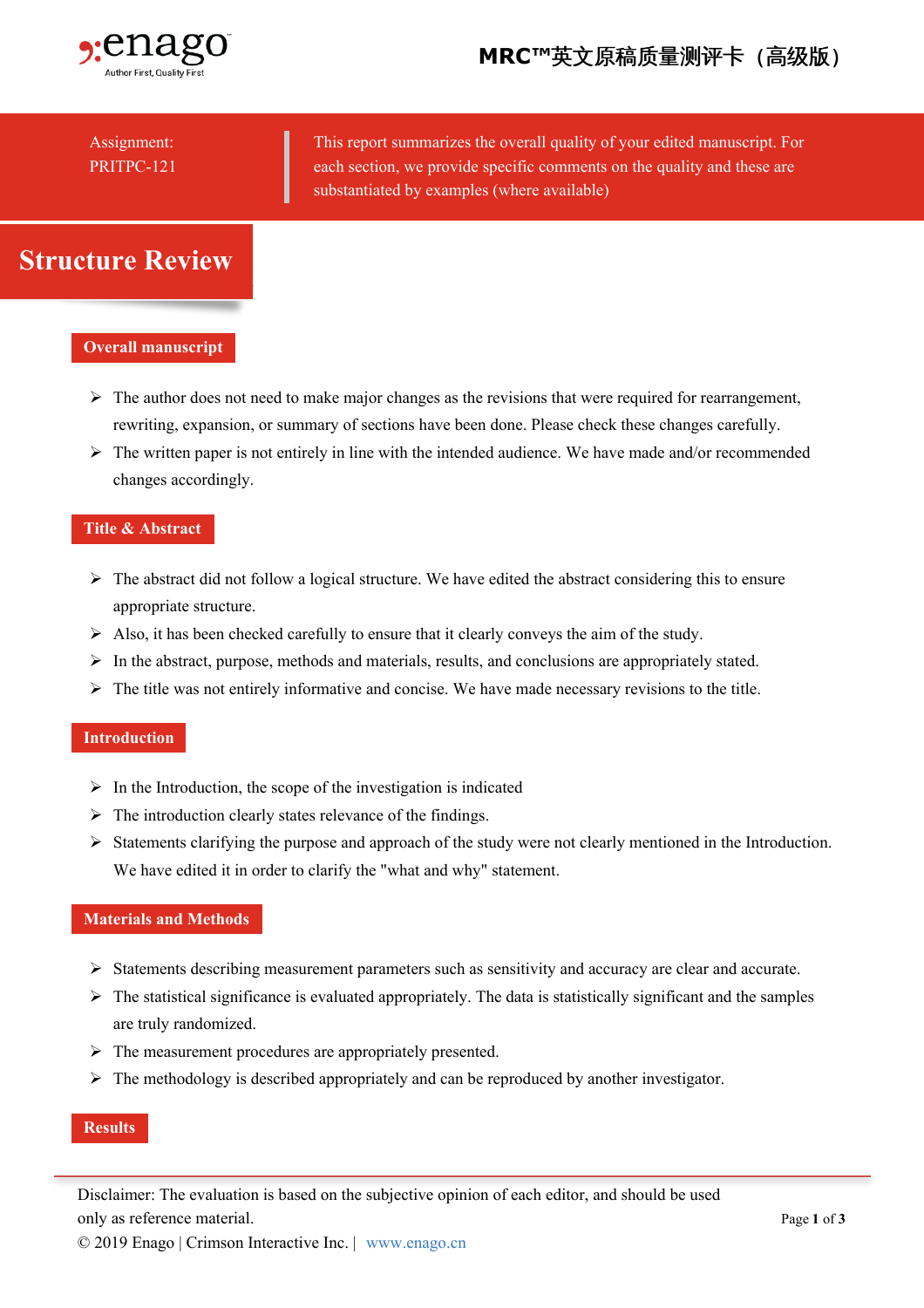

## Assignment: PRITPC-121

This report summarizes the overall quality of your edited manuscript. For each section, we provide specific comments on the quality and these are substantiated by examples (where available)

# **Structure Review**

### **Overall manuscript**

- ➢ The author does not need to make major changes as the revisions that were required for rearrangement, rewriting, expansion, or summary of sections have been done. Please check these changes carefully.
- ➢ The written paper is not entirely in line with the intended audience. We have made and/or recommended changes accordingly.

### **Title & Abstract**

- ➢ The abstract did not follow a logical structure. We have edited the abstract considering this to ensure appropriate structure.
- ➢ Also, it has been checked carefully to ensure that it clearly conveys the aim of the study.
- ➢ In the abstract, purpose, methods and materials, results, and conclusions are appropriately stated.
- ➢ The title was not entirely informative and concise. We have made necessary revisions to the title.

### **Introduction**

- ➢ In the Introduction, the scope of the investigation is indicated
- ➢ The introduction clearly states relevance of the findings.
- ➢ Statements clarifying the purpose and approach of the study were not clearly mentioned in the Introduction. We have edited it in order to clarify the "what and why" statement.

#### **Materials and Methods**

- ➢ Statements describing measurement parameters such as sensitivity and accuracy are clear and accurate.
- ➢ The statistical significance is evaluated appropriately. The data is statistically significant and the samples are truly randomized.
- ➢ The measurement procedures are appropriately presented.
- ➢ The methodology is described appropriately and can be reproduced by another investigator.

### **Results**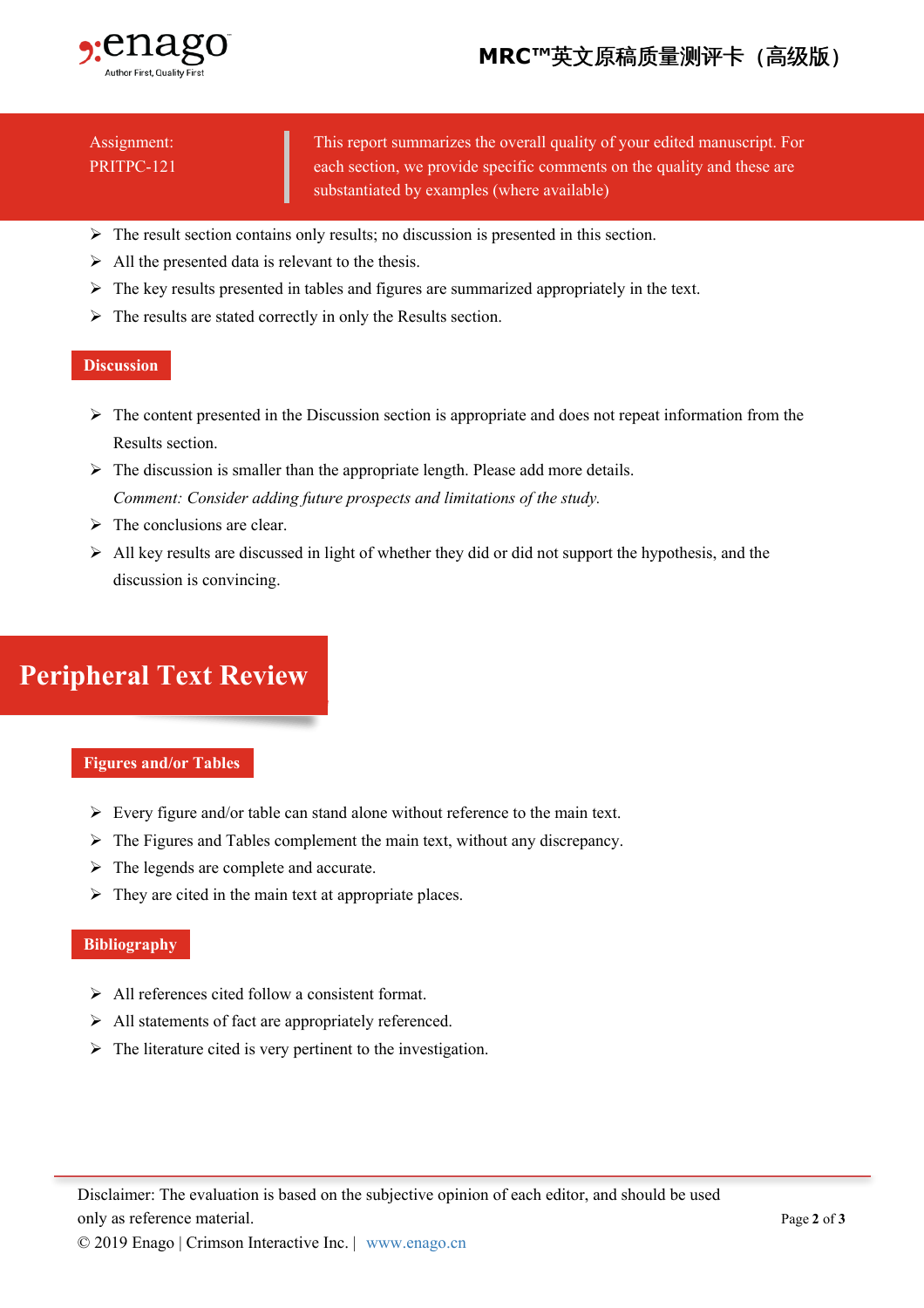

## Assignment: PRITPC-121

This report summarizes the overall quality of your edited manuscript. For each section, we provide specific comments on the quality and these are substantiated by examples (where available)

- ➢ The result section contains only results; no discussion is presented in this section.
- ➢ All the presented data is relevant to the thesis.
- ➢ The key results presented in tables and figures are summarized appropriately in the text.
- ➢ The results are stated correctly in only the Results section.

### **Discussion**

- ➢ The content presented in the Discussion section is appropriate and does not repeat information from the Results section.
- ➢ The discussion is smaller than the appropriate length. Please add more details. *Comment: Consider adding future prospects and limitations of the study.*
- ➢ The conclusions are clear.
- ➢ All key results are discussed in light of whether they did or did not support the hypothesis, and the discussion is convincing.

# **Peripheral Text Review**

### **Figures and/or Tables**

- ➢ Every figure and/or table can stand alone without reference to the main text.
- ➢ The Figures and Tables complement the main text, without any discrepancy.
- ➢ The legends are complete and accurate.
- ➢ They are cited in the main text at appropriate places.

### **Bibliography**

- ➢ All references cited follow a consistent format.
- ➢ All statements of fact are appropriately referenced.
- ➢ The literature cited is very pertinent to the investigation.